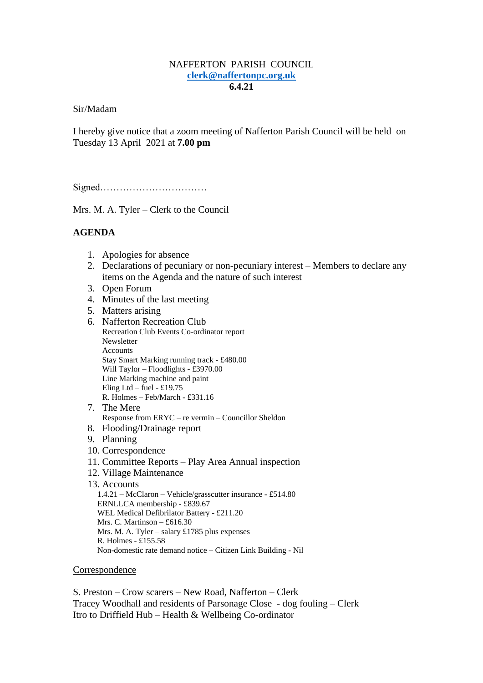## NAFFERTON PARISH COUNCIL **[clerk@naffertonpc.org.uk](mailto:clerk@naffertonpc.org.uk) 6.4.21**

Sir/Madam

I hereby give notice that a zoom meeting of Nafferton Parish Council will be held on Tuesday 13 April 2021 at **7.00 pm**

Signed……………………………

Mrs. M. A. Tyler – Clerk to the Council

# **AGENDA**

- 1. Apologies for absence
- 2. Declarations of pecuniary or non-pecuniary interest Members to declare any items on the Agenda and the nature of such interest
- 3. Open Forum
- 4. Minutes of the last meeting
- 5. Matters arising
- 6. Nafferton Recreation Club Recreation Club Events Co-ordinator report Newsletter Accounts Stay Smart Marking running track - £480.00 Will Taylor – Floodlights - £3970.00 Line Marking machine and paint Eling Ltd – fuel - £19.75 R. Holmes – Feb/March - £331.16 7. The Mere Response from ERYC – re vermin – Councillor Sheldon 8. Flooding/Drainage report 9. Planning 10. Correspondence 11. Committee Reports – Play Area Annual inspection 12. Village Maintenance
- 13. Accounts 1.4.21 – McClaron – Vehicle/grasscutter insurance - £514.80 ERNLLCA membership - £839.67 WEL Medical Defibrilator Battery - £211.20 Mrs. C. Martinson – £616.30 Mrs. M. A. Tyler – salary £1785 plus expenses R. Holmes - £155.58 Non-domestic rate demand notice – Citizen Link Building - Nil

#### Correspondence

S. Preston – Crow scarers – New Road, Nafferton – Clerk Tracey Woodhall and residents of Parsonage Close - dog fouling – Clerk Itro to Driffield Hub – Health & Wellbeing Co-ordinator